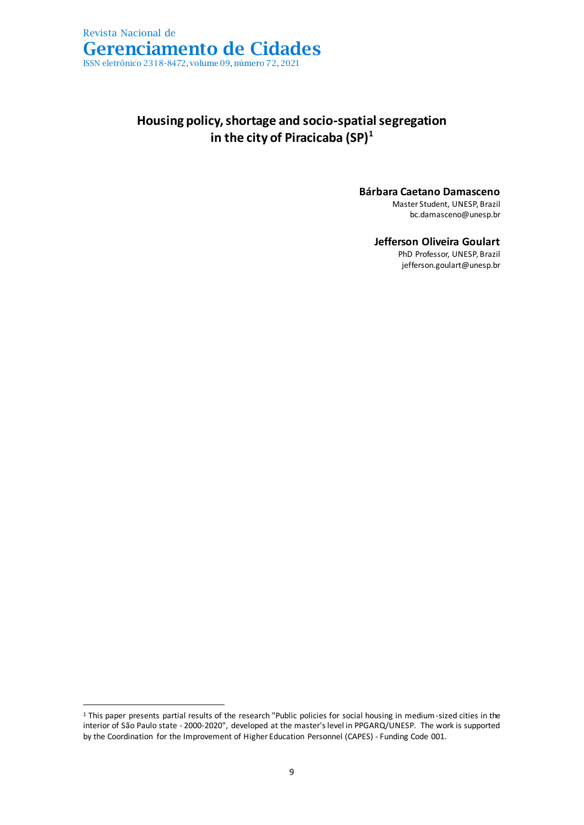

### **Housing policy, shortage and socio-spatial segregation in the city of Piracicaba (SP)<sup>1</sup>**

### **Bárbara Caetano Damasceno**

Master Student, UNESP, Brazil bc.damasceno@unesp.br

### **Jefferson Oliveira Goulart**

PhD Professor, UNESP, Brazil jefferson.goulart@unesp.br

<sup>1</sup> This paper presents partial results of the research "Public policies for social housing in medium-sized cities in the interior of São Paulo state - 2000-2020", developed at the master's level in PPGARQ/UNESP. The work is supported by the Coordination for the Improvement of Higher Education Personnel (CAPES) - Funding Code 001.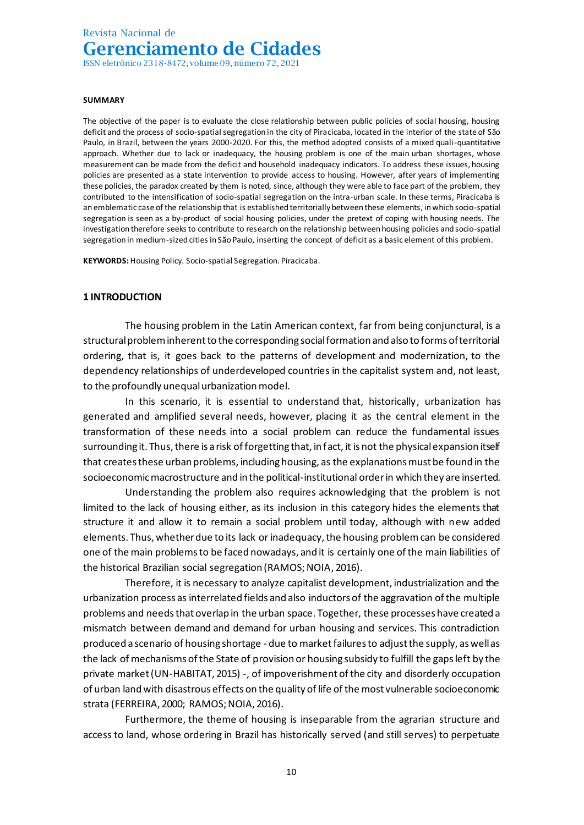#### **SUMMARY**

The objective of the paper is to evaluate the close relationship between public policies of social housing, housing deficit and the process of socio-spatial segregation in the city of Piracicaba, located in the interior of the state of São Paulo, in Brazil, between the years 2000-2020. For this, the method adopted consists of a mixed quali-quantitative approach. Whether due to lack or inadequacy, the housing problem is one of the main urban shortages, whose measurement can be made from the deficit and household inadequacy indicators. To address these issues, housing policies are presented as a state intervention to provide access to housing. However, after years of implementing these policies, the paradox created by them is noted, since, although they were able to face part of the problem, they contributed to the intensification of socio-spatial segregation on the intra-urban scale. In these terms, Piracicaba is an emblematic case of the relationship that is established territorially between these elements, in which socio-spatial segregation is seen as a by-product of social housing policies, under the pretext of coping with housing needs. The investigation therefore seeks to contribute to research on the relationship between housing policies and socio-spatial segregation in medium-sized cities in São Paulo, inserting the concept of deficit as a basic element of this problem.

**KEYWORDS:**Housing Policy. Socio-spatial Segregation. Piracicaba.

#### **1 INTRODUCTION**

The housing problem in the Latin American context, far from being conjunctural, is a structural problem inherent to the corresponding social formation and also to forms of territorial ordering, that is, it goes back to the patterns of development and modernization, to the dependency relationships of underdeveloped countries in the capitalist system and, not least, to the profoundly unequal urbanization model.

In this scenario, it is essential to understand that, historically, urbanization has generated and amplified several needs, however, placing it as the central element in the transformation of these needs into a social problem can reduce the fundamental issues surrounding it. Thus, there is a risk of forgetting that, in fact, it is not the physical expansion itself that creates these urban problems, including housing, as the explanations must be found in the socioeconomic macrostructure and in the political-institutional order in which they are inserted.

Understanding the problem also requires acknowledging that the problem is not limited to the lack of housing either, as its inclusion in this category hides the elements that structure it and allow it to remain a social problem until today, although with new added elements. Thus, whether due to its lack or inadequacy, the housing problemcan be considered one of the main problems to be faced nowadays, and it is certainly one of the main liabilities of the historical Brazilian social segregation (RAMOS; NOIA, 2016).

Therefore, it is necessary to analyze capitalist development, industrialization and the urbanization process as interrelated fields and also inductors of the aggravation of the multiple problems and needs that overlap in the urban space. Together, these processes have created a mismatch between demand and demand for urban housing and services. This contradiction produced a scenario of housing shortage - due to market failures to adjust the supply, as well as the lack of mechanisms of the State of provision or housing subsidy to fulfill the gaps left by the private market (UN-HABITAT, 2015) -, of impoverishment of the city and disorderly occupation of urban land with disastrous effects on the quality of life of the most vulnerable socioeconomic strata (FERREIRA, 2000; RAMOS; NOIA, 2016).

Furthermore, the theme of housing is inseparable from the agrarian structure and access to land, whose ordering in Brazil has historically served (and still serves) to perpetuate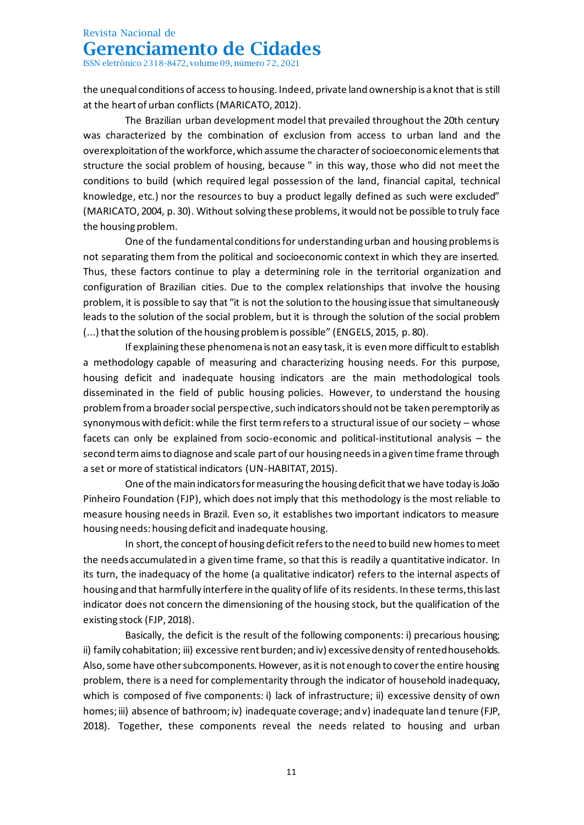ISSN eletrônico 2318-8472, volume 09, número 72, 2021

the unequal conditions of access to housing. Indeed, private land ownership is a knot that is still at the heart of urban conflicts (MARICATO, 2012).

The Brazilian urban development model that prevailed throughout the 20th century was characterized by the combination of exclusion from access to urban land and the overexploitation of the workforce, which assume the character of socioeconomic elements that structure the social problem of housing, because " in this way, those who did not meet the conditions to build (which required legal possession of the land, financial capital, technical knowledge, etc.) nor the resources to buy a product legally defined as such were excluded" (MARICATO, 2004, p. 30). Without solving these problems, it would not be possible to truly face the housing problem.

One of the fundamental conditions for understanding urban and housing problems is not separating them from the political and socioeconomic context in which they are inserted. Thus, these factors continue to play a determining role in the territorial organization and configuration of Brazilian cities. Due to the complex relationships that involve the housing problem, it is possible to say that "it is not the solution to the housing issue that simultaneously leads to the solution of the social problem, but it is through the solution of the social problem (...) that the solution of the housing problem is possible" (ENGELS, 2015, p. 80).

If explaining these phenomena is not an easy task, it is even more difficult to establish a methodology capable of measuring and characterizing housing needs. For this purpose, housing deficit and inadequate housing indicators are the main methodological tools disseminated in the field of public housing policies. However, to understand the housing problem from a broader social perspective, such indicators should not be taken peremptorily as synonymous with deficit: while the first term refers to a structural issue of our society – whose facets can only be explained from socio-economic and political-institutional analysis – the second term aims to diagnose and scale part of our housing needs in a given time frame through a set or more of statistical indicators (UN-HABITAT, 2015).

One of the main indicators for measuring the housing deficit that we have today is João Pinheiro Foundation (FJP), which does not imply that this methodology is the most reliable to measure housing needs in Brazil. Even so, it establishes two important indicators to measure housing needs: housing deficit and inadequate housing.

In short, the concept of housing deficit refers to the need to build new homes to meet the needs accumulated in a given time frame, so that this is readily a quantitative indicator. In its turn, the inadequacy of the home (a qualitative indicator) refers to the internal aspects of housing and that harmfully interfere in the quality of life of its residents. In these terms, this last indicator does not concern the dimensioning of the housing stock, but the qualification of the existing stock (FJP, 2018).

Basically, the deficit is the result of the following components: i) precarious housing; ii) family cohabitation; iii) excessive rent burden; and iv) excessive density of rented households. Also, some have other subcomponents. However, as it is not enough to cover the entire housing problem, there is a need for complementarity through the indicator of household inadequacy, which is composed of five components: i) lack of infrastructure; ii) excessive density of own homes; iii) absence of bathroom; iv) inadequate coverage; and v) inadequate land tenure (FJP, 2018). Together, these components reveal the needs related to housing and urban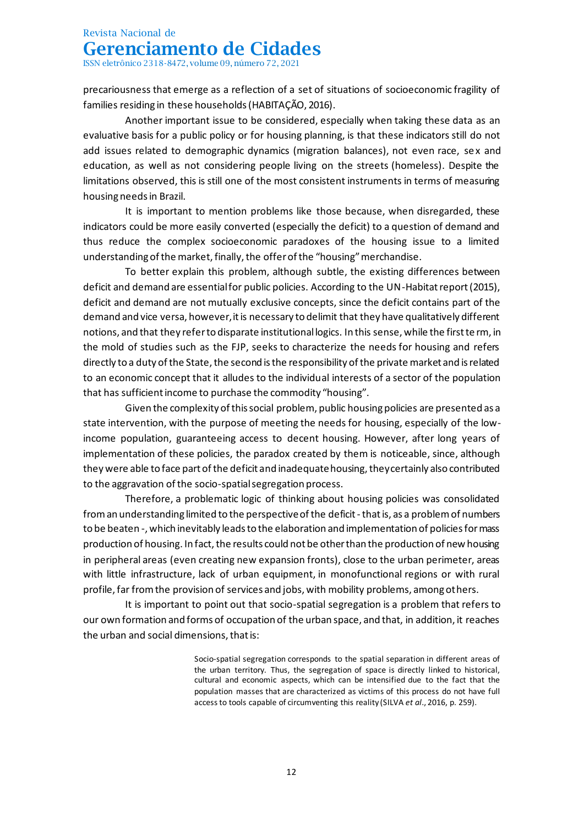ISSN eletrônico 2318-8472, volume 09, número 72, 2021

precariousness that emerge as a reflection of a set of situations of socioeconomic fragility of families residing in these households (HABITAÇÃO, 2016).

Another important issue to be considered, especially when taking these data as an evaluative basis for a public policy or for housing planning, is that these indicators still do not add issues related to demographic dynamics (migration balances), not even race, sex and education, as well as not considering people living on the streets (homeless). Despite the limitations observed, this is still one of the most consistent instruments in terms of measuring housing needs in Brazil.

It is important to mention problems like those because, when disregarded, these indicators could be more easily converted (especially the deficit) to a question of demand and thus reduce the complex socioeconomic paradoxes of the housing issue to a limited understanding of the market, finally, the offer of the "housing" merchandise.

To better explain this problem, although subtle, the existing differences between deficit and demand are essential for public policies. According to the UN-Habitat report (2015), deficit and demand are not mutually exclusive concepts, since the deficit contains part of the demand and vice versa, however, it is necessary to delimit that they have qualitatively different notions, and that they refer to disparate institutional logics. In this sense, while the first te rm, in the mold of studies such as the FJP, seeks to characterize the needs for housing and refers directly to a duty of the State, the second is the responsibility of the private market and is related to an economic concept that it alludes to the individual interests of a sector of the population that has sufficient income to purchase the commodity "housing".

Given the complexity of this social problem, public housing policies are presented as a state intervention, with the purpose of meeting the needs for housing, especially of the lowincome population, guaranteeing access to decent housing. However, after long years of implementation of these policies, the paradox created by them is noticeable, since, although they were able to face part of the deficit and inadequate housing, they certainly also contributed to the aggravation of the socio-spatial segregation process.

Therefore, a problematic logic of thinking about housing policies was consolidated from an understanding limited to the perspective of the deficit - that is, as a problem of numbers to be beaten -, which inevitably leads to the elaboration and implementation of policies for mass production of housing. In fact, the results could not be other than the production of new housing in peripheral areas (even creating new expansion fronts), close to the urban perimeter, areas with little infrastructure, lack of urban equipment, in monofunctional regions or with rural profile, far from the provision of services and jobs, with mobility problems, among others.

It is important to point out that socio-spatial segregation is a problem that refers to our own formation and forms of occupation of the urban space, and that, in addition, it reaches the urban and social dimensions, that is:

> Socio-spatial segregation corresponds to the spatial separation in different areas of the urban territory. Thus, the segregation of space is directly linked to historical, cultural and economic aspects, which can be intensified due to the fact that the population masses that are characterized as victims of this process do not have full access to tools capable of circumventing this reality (SILVA *et al*., 2016, p. 259).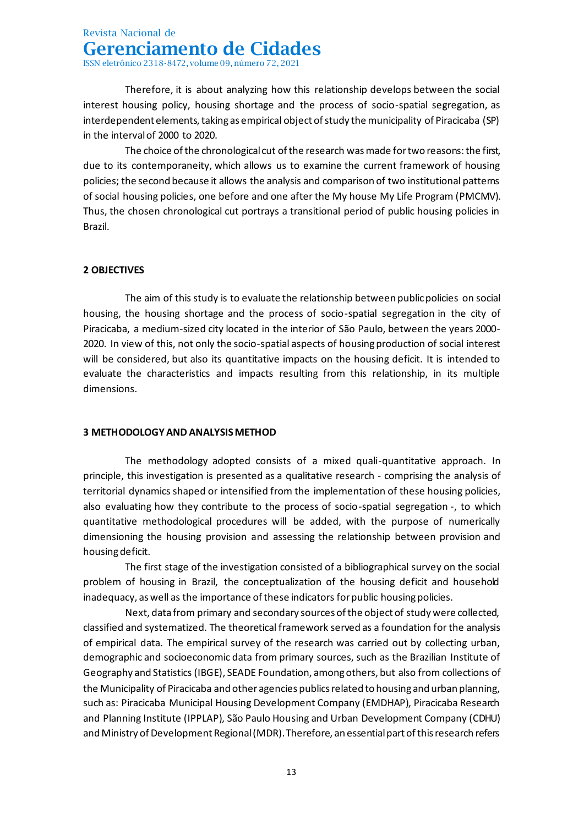Therefore, it is about analyzing how this relationship develops between the social interest housing policy, housing shortage and the process of socio-spatial segregation, as interdependent elements, taking as empirical object of study the municipality of Piracicaba (SP) in the interval of 2000 to 2020.

The choice of the chronological cut of the research was made for two reasons: the first, due to its contemporaneity, which allows us to examine the current framework of housing policies; the second because it allows the analysis and comparison of two institutional patterns of social housing policies, one before and one after the My house My Life Program (PMCMV). Thus, the chosen chronological cut portrays a transitional period of public housing policies in Brazil.

### **2 OBJECTIVES**

The aim of this study is to evaluate the relationship between public policies on social housing, the housing shortage and the process of socio-spatial segregation in the city of Piracicaba, a medium-sized city located in the interior of São Paulo, between the years 2000- 2020. In view of this, not only the socio-spatial aspects of housing production of social interest will be considered, but also its quantitative impacts on the housing deficit. It is intended to evaluate the characteristics and impacts resulting from this relationship, in its multiple dimensions.

#### **3 METHODOLOGY AND ANALYSIS METHOD**

The methodology adopted consists of a mixed quali-quantitative approach. In principle, this investigation is presented as a qualitative research - comprising the analysis of territorial dynamics shaped or intensified from the implementation of these housing policies, also evaluating how they contribute to the process of socio-spatial segregation -, to which quantitative methodological procedures will be added, with the purpose of numerically dimensioning the housing provision and assessing the relationship between provision and housing deficit.

The first stage of the investigation consisted of a bibliographical survey on the social problem of housing in Brazil, the conceptualization of the housing deficit and household inadequacy, as well as the importance of these indicators for public housing policies.

Next, data from primary and secondary sources of the object of study were collected, classified and systematized. The theoretical framework served as a foundation for the analysis of empirical data. The empirical survey of the research was carried out by collecting urban, demographic and socioeconomic data from primary sources, such as the Brazilian Institute of Geography and Statistics (IBGE), SEADE Foundation, among others, but also from collections of the Municipality of Piracicaba and other agencies publics related to housing and urban planning, such as: Piracicaba Municipal Housing Development Company (EMDHAP), Piracicaba Research and Planning Institute (IPPLAP), São Paulo Housing and Urban Development Company (CDHU) and Ministry of Development Regional (MDR). Therefore, an essential part of this research refers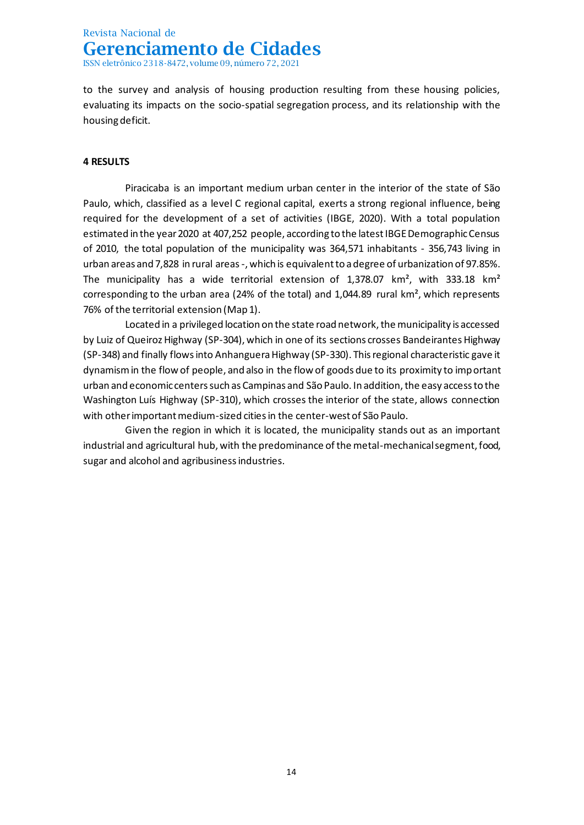to the survey and analysis of housing production resulting from these housing policies, evaluating its impacts on the socio-spatial segregation process, and its relationship with the housing deficit.

### **4 RESULTS**

Piracicaba is an important medium urban center in the interior of the state of São Paulo, which, classified as a level C regional capital, exerts a strong regional influence, being required for the development of a set of activities (IBGE, 2020). With a total population estimated in the year 2020 at 407,252 people, according to the latest IBGE Demographic Census of 2010, the total population of the municipality was 364,571 inhabitants - 356,743 living in urban areas and 7,828 in rural areas -, which is equivalent to a degree of urbanization of 97.85%. The municipality has a wide territorial extension of  $1,378.07$  km<sup>2</sup>, with 333.18 km<sup>2</sup> corresponding to the urban area (24% of the total) and 1,044.89 rural km², which represents 76% of the territorial extension (Map 1).

Located in a privileged location on the state road network, the municipality is accessed by Luiz of Queiroz Highway (SP-304), which in one of its sections crosses Bandeirantes Highway (SP-348) and finally flows into Anhanguera Highway (SP-330). This regional characteristic gave it dynamism in the flow of people, and also in the flow of goods due to its proximity to important urban and economic centers such as Campinas and São Paulo. In addition, the easy access to the Washington Luís Highway (SP-310), which crosses the interior of the state, allows connection with other important medium-sized cities in the center-west of São Paulo.

Given the region in which it is located, the municipality stands out as an important industrial and agricultural hub, with the predominance of the metal-mechanical segment, food, sugar and alcohol and agribusiness industries.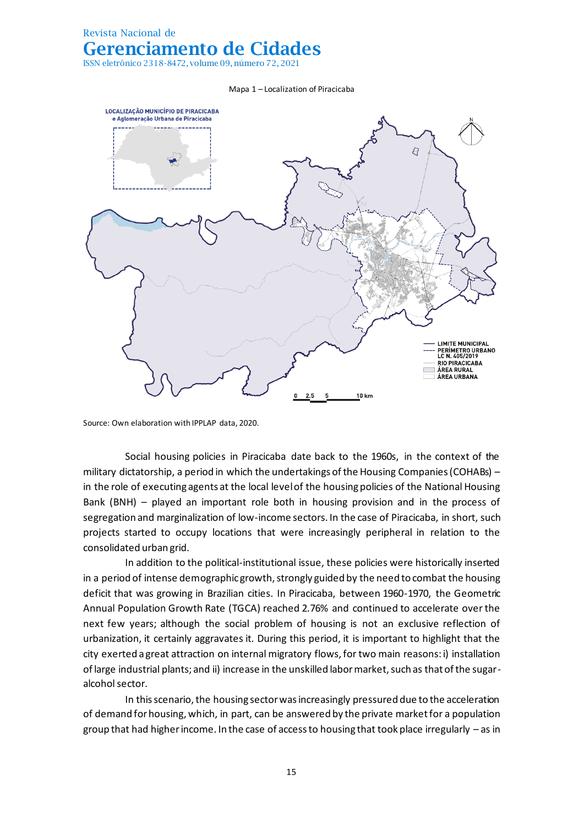ISSN eletrônico 2318-8472, volume 09, número 72, 2021

#### Mapa 1 – Localization of Piracicaba



Source: Own elaboration with IPPLAP data, 2020.

Social housing policies in Piracicaba date back to the 1960s, in the context of the military dictatorship, a period in which the undertakings of the Housing Companies (COHABs) – in the role of executing agents at the local level of the housing policies of the National Housing Bank (BNH) – played an important role both in housing provision and in the process of segregation and marginalization of low-income sectors. In the case of Piracicaba, in short, such projects started to occupy locations that were increasingly peripheral in relation to the consolidated urban grid.

In addition to the political-institutional issue, these policies were historically inserted in a period of intense demographic growth, strongly guided by the need to combat the housing deficit that was growing in Brazilian cities. In Piracicaba, between 1960-1970, the Geometric Annual Population Growth Rate (TGCA) reached 2.76% and continued to accelerate over the next few years; although the social problem of housing is not an exclusive reflection of urbanization, it certainly aggravates it. During this period, it is important to highlight that the city exerted a great attraction on internal migratory flows, for two main reasons: i) installation of large industrial plants; and ii) increase in the unskilled labor market, such as that of the sugaralcohol sector.

In this scenario, the housing sector was increasingly pressured due to the acceleration of demand for housing, which, in part, can be answered by the private market for a population group that had higher income. In the case of access to housing that took place irregularly – as in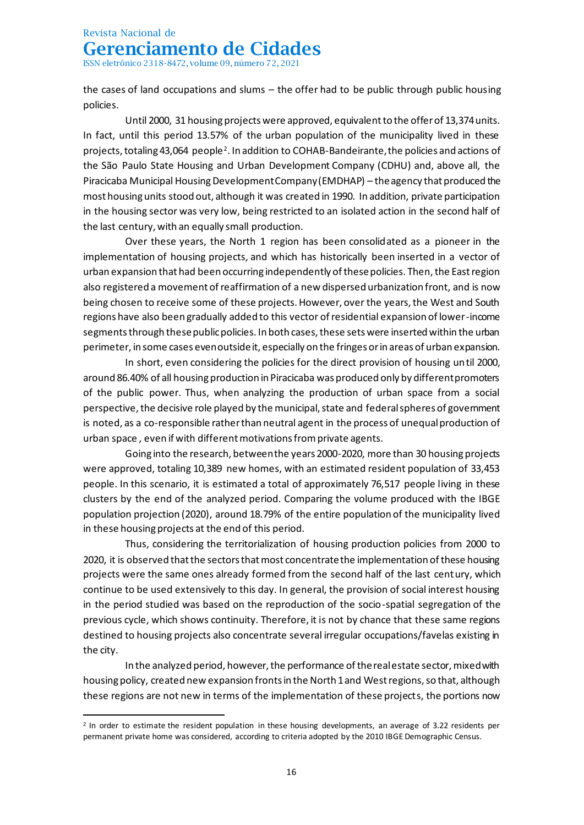ISSN eletrônico 2318-8472, volume 09, número 72, 2021

the cases of land occupations and slums – the offer had to be public through public housing policies.

Until 2000, 31 housing projects were approved, equivalent to the offer of 13,374 units. In fact, until this period 13.57% of the urban population of the municipality lived in these projects, totaling 43,064  $\mathsf{people}^2$ . In addition to COHAB-Bandeirante, the policies and actions of the São Paulo State Housing and Urban Development Company (CDHU) and, above all, the Piracicaba Municipal Housing Development Company (EMDHAP) – the agency that produced the most housing units stood out, although it was created in 1990. In addition, private participation in the housing sector was very low, being restricted to an isolated action in the second half of the last century, with an equally small production.

Over these years, the North 1 region has been consolidated as a pioneer in the implementation of housing projects, and which has historically been inserted in a vector of urban expansion that had been occurring independently of these policies. Then, the East region also registered a movement of reaffirmation of a new dispersed urbanization front, and is now being chosen to receive some of these projects. However, over the years, the West and South regions have also been gradually added to this vector of residential expansion of lower-income segments through these public policies. In both cases, these sets were inserted within the urban perimeter, in some cases even outside it, especially on the fringes or in areas of urban expansion.

In short, even considering the policies for the direct provision of housing until 2000, around 86.40% of all housing production in Piracicaba was produced only by different promoters of the public power. Thus, when analyzing the production of urban space from a social perspective, the decisive role played by the municipal, state and federal spheres of government is noted, as a co-responsible rather than neutral agent in the process of unequal production of urban space , even if with different motivations from private agents.

Going into the research, between the years 2000-2020, more than 30 housing projects were approved, totaling 10,389 new homes, with an estimated resident population of 33,453 people. In this scenario, it is estimated a total of approximately 76,517 people living in these clusters by the end of the analyzed period. Comparing the volume produced with the IBGE population projection (2020), around 18.79% of the entire population of the municipality lived in these housing projects at the end of this period.

Thus, considering the territorialization of housing production policies from 2000 to 2020, it is observed that the sectors that most concentrate the implementation of these housing projects were the same ones already formed from the second half of the last century, which continue to be used extensively to this day. In general, the provision of social interest housing in the period studied was based on the reproduction of the socio-spatial segregation of the previous cycle, which shows continuity. Therefore, it is not by chance that these same regions destined to housing projects also concentrate several irregular occupations/favelas existing in the city.

In the analyzed period, however, the performance of the real estate sector, mixed with housing policy, created new expansion fronts in the North 1 and West regions, so that, although these regions are not new in terms of the implementation of these projects, the portions now

<sup>&</sup>lt;sup>2</sup> In order to estimate the resident population in these housing developments, an average of 3.22 residents per permanent private home was considered, according to criteria adopted by the 2010 IBGE Demographic Census.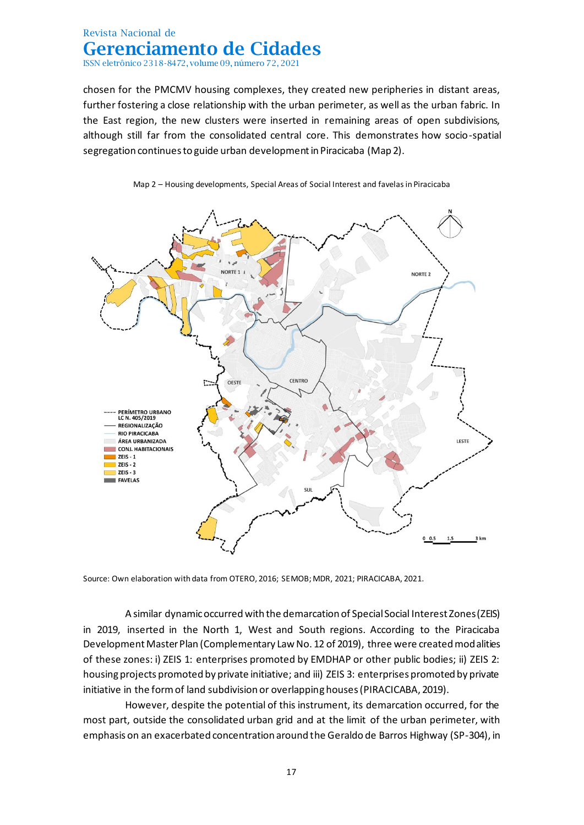chosen for the PMCMV housing complexes, they created new peripheries in distant areas, further fostering a close relationship with the urban perimeter, as well as the urban fabric. In the East region, the new clusters were inserted in remaining areas of open subdivisions, although still far from the consolidated central core. This demonstrates how socio-spatial segregation continues to guide urban development in Piracicaba (Map 2).





Source: Own elaboration with data from OTERO, 2016; SEMOB; MDR, 2021; PIRACICABA, 2021.

A similar dynamic occurred with the demarcation of Special Social Interest Zones (ZEIS) in 2019, inserted in the North 1, West and South regions. According to the Piracicaba Development Master Plan (Complementary Law No. 12 of 2019), three were created modalities of these zones: i) ZEIS 1: enterprises promoted by EMDHAP or other public bodies; ii) ZEIS 2: housing projects promoted by private initiative; and iii) ZEIS 3: enterprises promoted by private initiative in the form of land subdivision or overlapping houses (PIRACICABA, 2019).

However, despite the potential of this instrument, its demarcation occurred, for the most part, outside the consolidated urban grid and at the limit of the urban perimeter, with emphasis on an exacerbated concentration around the Geraldo de Barros Highway (SP-304), in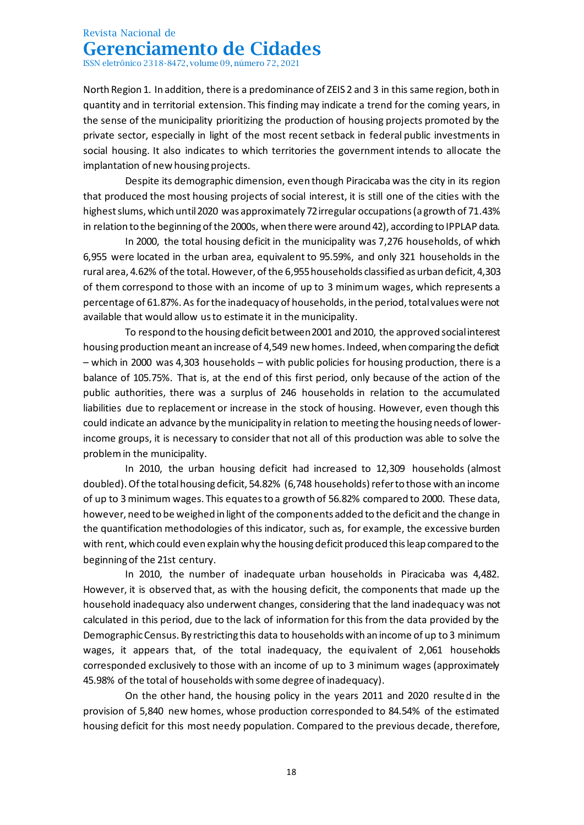ISSN eletrônico 2318-8472, volume 09, número 72, 2021

North Region 1. In addition, there is a predominance of ZEIS 2 and 3 in this same region, both in quantity and in territorial extension. This finding may indicate a trend for the coming years, in the sense of the municipality prioritizing the production of housing projects promoted by the private sector, especially in light of the most recent setback in federal public investments in social housing. It also indicates to which territories the government intends to allocate the implantation of new housing projects.

Despite its demographic dimension, even though Piracicaba was the city in its region that produced the most housing projects of social interest, it is still one of the cities with the highest slums, which until 2020 was approximately 72 irregular occupations (a growth of 71.43% in relation to the beginning of the 2000s, when there were around 42), according to IPPLAP data.

In 2000, the total housing deficit in the municipality was 7,276 households, of which 6,955 were located in the urban area, equivalent to 95.59%, and only 321 households in the rural area, 4.62% of the total. However, of the 6,955 households classified as urban deficit, 4,303 of them correspond to those with an income of up to 3 minimum wages, which represents a percentage of 61.87%. As for the inadequacy of households, in the period, total values were not available that would allow us to estimate it in the municipality.

To respond to the housing deficit between 2001 and 2010, the approved social interest housing production meant an increase of 4,549 new homes. Indeed, when comparing the deficit – which in 2000 was 4,303 households – with public policies for housing production, there is a balance of 105.75%. That is, at the end of this first period, only because of the action of the public authorities, there was a surplus of 246 households in relation to the accumulated liabilities due to replacement or increase in the stock of housing. However, even though this could indicate an advance by the municipality in relation to meeting the housing needs of lowerincome groups, it is necessary to consider that not all of this production was able to solve the problem in the municipality.

In 2010, the urban housing deficit had increased to 12,309 households (almost doubled). Of the total housing deficit, 54.82% (6,748 households) refer to those with an income of up to 3 minimum wages. This equates to a growth of 56.82% compared to 2000. These data, however, need to be weighed in light of the components added to the deficit and the change in the quantification methodologies of this indicator, such as, for example, the excessive burden with rent, which could even explain why the housing deficit produced this leap compared to the beginning of the 21st century.

In 2010, the number of inadequate urban households in Piracicaba was 4,482. However, it is observed that, as with the housing deficit, the components that made up the household inadequacy also underwent changes, considering that the land inadequacy was not calculated in this period, due to the lack of information for this from the data provided by the Demographic Census. By restricting this data to households with an income of up to 3 minimum wages, it appears that, of the total inadequacy, the equivalent of 2,061 households corresponded exclusively to those with an income of up to 3 minimum wages (approximately 45.98% of the total of households with some degree of inadequacy).

On the other hand, the housing policy in the years 2011 and 2020 resulted in the provision of 5,840 new homes, whose production corresponded to 84.54% of the estimated housing deficit for this most needy population. Compared to the previous decade, therefore,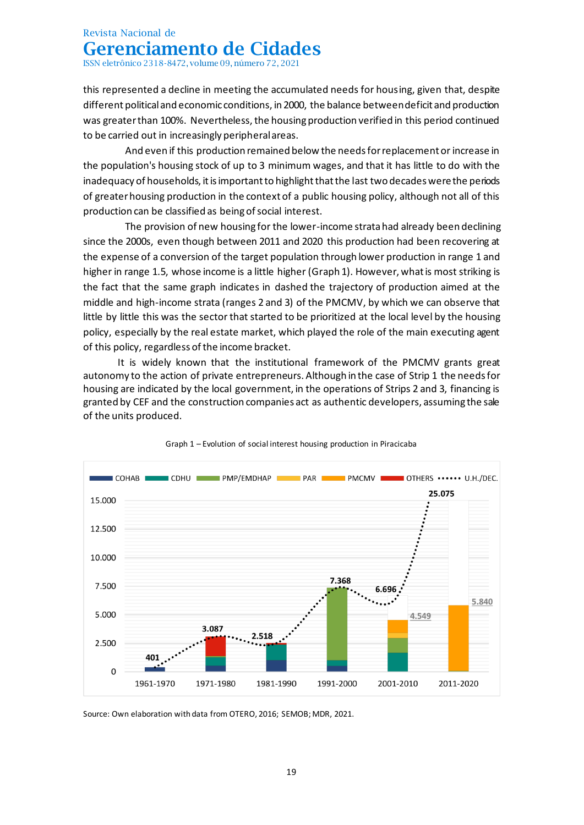ISSN eletrônico 2318-8472, volume 09, número 72, 2021

this represented a decline in meeting the accumulated needs for housing, given that, despite different political and economic conditions, in 2000, the balance between deficit and production was greater than 100%. Nevertheless, the housing production verified in this period continued to be carried out in increasingly peripheral areas.

And even if this production remained below the needs for replacement or increase in the population's housing stock of up to 3 minimum wages, and that it has little to do with the inadequacy of households, it is important to highlight that the last two decades were the periods of greater housing production in the context of a public housing policy, although not all of this production can be classified as being of social interest.

The provision of new housing for the lower-income strata had already been declining since the 2000s, even though between 2011 and 2020 this production had been recovering at the expense of a conversion of the target population through lower production in range 1 and higher in range 1.5, whose income is a little higher (Graph 1). However, what is most striking is the fact that the same graph indicates in dashed the trajectory of production aimed at the middle and high-income strata (ranges 2 and 3) of the PMCMV, by which we can observe that little by little this was the sector that started to be prioritized at the local level by the housing policy, especially by the real estate market, which played the role of the main executing agent of this policy, regardless of the income bracket.

It is widely known that the institutional framework of the PMCMV grants great autonomy to the action of private entrepreneurs. Although in the case of Strip 1 the needs for housing are indicated by the local government, in the operations of Strips 2 and 3, financing is granted by CEF and the construction companies act as authentic developers, assuming the sale of the units produced.





Source: Own elaboration with data from OTERO, 2016; SEMOB; MDR, 2021.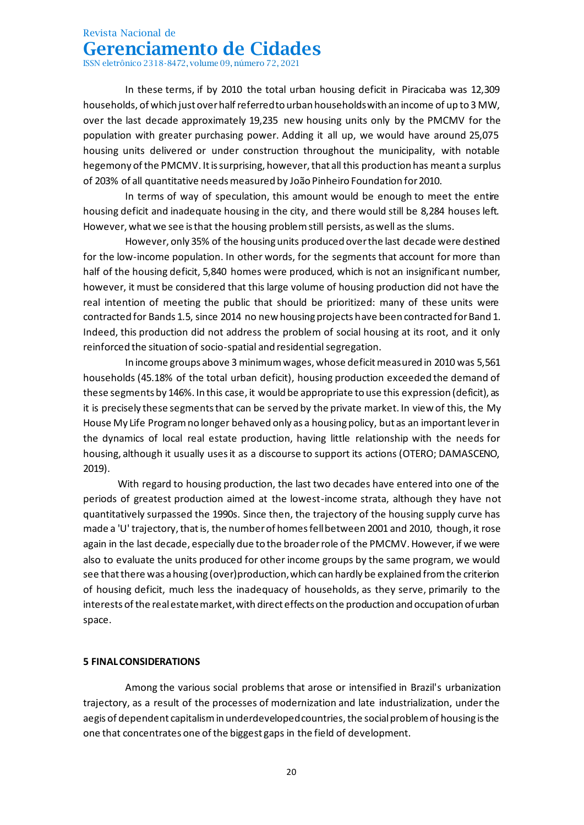ISSN eletrônico 2318-8472, volume 09, número 72, 2021

In these terms, if by 2010 the total urban housing deficit in Piracicaba was 12,309 households, of which just over half referred to urban households with an income of up to 3 MW, over the last decade approximately 19,235 new housing units only by the PMCMV for the population with greater purchasing power. Adding it all up, we would have around 25,075 housing units delivered or under construction throughout the municipality, with notable hegemony of the PMCMV. It is surprising, however, that all this production has meant a surplus of 203% of all quantitative needs measured by João Pinheiro Foundation for 2010.

In terms of way of speculation, this amount would be enough to meet the entire housing deficit and inadequate housing in the city, and there would still be 8,284 houses left. However, what we see is that the housing problem still persists, as well as the slums.

However, only 35% of the housing units produced over the last decade were destined for the low-income population. In other words, for the segments that account for more than half of the housing deficit, 5,840 homes were produced, which is not an insignificant number, however, it must be considered that this large volume of housing production did not have the real intention of meeting the public that should be prioritized: many of these units were contracted for Bands 1.5, since 2014 no new housing projects have been contracted for Band 1. Indeed, this production did not address the problem of social housing at its root, and it only reinforced the situation of socio-spatial and residential segregation.

In income groups above 3 minimum wages, whose deficit measured in 2010 was 5,561 households (45.18% of the total urban deficit), housing production exceeded the demand of these segments by 146%. In this case, it would be appropriate to use this expression (deficit), as it is precisely these segments that can be served by the private market. In view of this, the My House My Life Program no longer behaved only as a housing policy, but as an important lever in the dynamics of local real estate production, having little relationship with the needs for housing, although it usually uses it as a discourse to support its actions (OTERO; DAMASCENO, 2019).

With regard to housing production, the last two decades have entered into one of the periods of greatest production aimed at the lowest-income strata, although they have not quantitatively surpassed the 1990s. Since then, the trajectory of the housing supply curve has made a 'U' trajectory, that is, the number of homes fell between 2001 and 2010, though, it rose again in the last decade, especially due to the broader role of the PMCMV. However, if we were also to evaluate the units produced for other income groups by the same program, we would see that there was a housing (over)production, which can hardly be explained from the criterion of housing deficit, much less the inadequacy of households, as they serve, primarily to the interests of the real estate market, with direct effects on the production and occupation of urban space.

#### **5 FINAL CONSIDERATIONS**

Among the various social problems that arose or intensified in Brazil's urbanization trajectory, as a result of the processes of modernization and late industrialization, under the aegis of dependent capitalism in underdeveloped countries, the social problem of housing is the one that concentrates one of the biggest gaps in the field of development.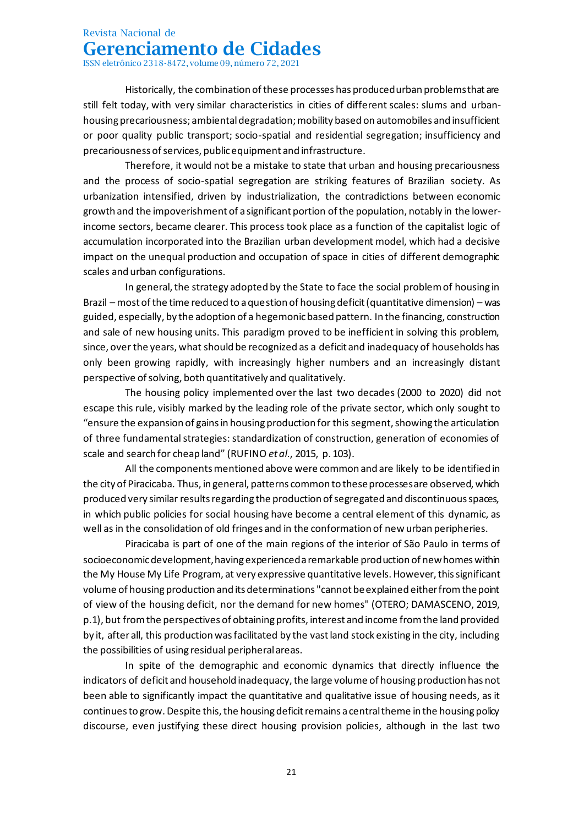ISSN eletrônico 2318-8472, volume 09, número 72, 2021

Historically, the combination of these processes has produced urban problems that are still felt today, with very similar characteristics in cities of different scales: slums and urbanhousing precariousness; ambiental degradation; mobility based on automobiles and insufficient or poor quality public transport; socio-spatial and residential segregation; insufficiency and precariousness of services, public equipment and infrastructure.

Therefore, it would not be a mistake to state that urban and housing precariousness and the process of socio-spatial segregation are striking features of Brazilian society. As urbanization intensified, driven by industrialization, the contradictions between economic growth and the impoverishment of a significant portion of the population, notably in the lowerincome sectors, became clearer. This process took place as a function of the capitalist logic of accumulation incorporated into the Brazilian urban development model, which had a decisive impact on the unequal production and occupation of space in cities of different demographic scales and urban configurations.

In general, the strategy adopted by the State to face the social problem of housing in Brazil – most of the time reduced to a question of housing deficit (quantitative dimension) – was guided, especially, by the adoption of a hegemonic based pattern. In the financing, construction and sale of new housing units. This paradigm proved to be inefficient in solving this problem, since, over the years, what should be recognized as a deficit and inadequacy of households has only been growing rapidly, with increasingly higher numbers and an increasingly distant perspective of solving, both quantitatively and qualitatively.

The housing policy implemented over the last two decades (2000 to 2020) did not escape this rule, visibly marked by the leading role of the private sector, which only sought to "ensure the expansion of gains in housing production for this segment, showing the articulation of three fundamental strategies: standardization of construction, generation of economies of scale and search for cheap land" (RUFINO *et al*., 2015, p. 103).

All the components mentioned above were common and are likely to be identified in the city of Piracicaba. Thus, in general, patterns common to these processes are observed, which produced very similar results regarding the production of segregated and discontinuous spaces, in which public policies for social housing have become a central element of this dynamic, as well as in the consolidation of old fringes and in the conformation of new urban peripheries.

Piracicaba is part of one of the main regions of the interior of São Paulo in terms of socioeconomic development, having experienced a remarkable production of new homes within the My House My Life Program, at very expressive quantitative levels. However, this significant volume of housing production and its determinations "cannot be explained either from the point of view of the housing deficit, nor the demand for new homes" (OTERO; DAMASCENO, 2019, p.1), but from the perspectives of obtaining profits, interest and income from the land provided by it, after all, this production was facilitated by the vast land stock existing in the city, including the possibilities of using residual peripheral areas.

In spite of the demographic and economic dynamics that directly influence the indicators of deficit and household inadequacy, the large volume of housing production has not been able to significantly impact the quantitative and qualitative issue of housing needs, as it continues to grow. Despite this, the housing deficit remains a central theme in the housing policy discourse, even justifying these direct housing provision policies, although in the last two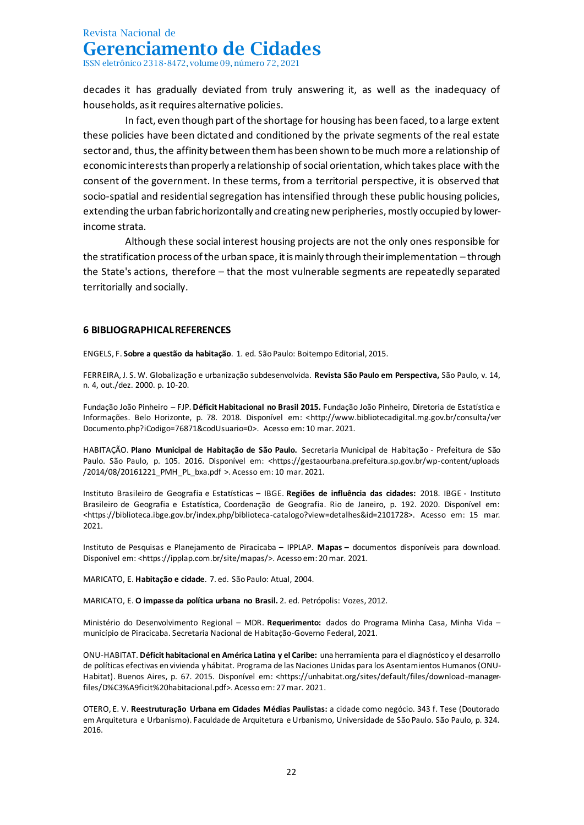ISSN eletrônico 2318-8472, volume 09, número 72, 2021

decades it has gradually deviated from truly answering it, as well as the inadequacy of households, as it requires alternative policies.

In fact, even though part of the shortage for housing has been faced, to a large extent these policies have been dictated and conditioned by the private segments of the real estate sector and, thus, the affinity between them has been shown to be much more a relationship of economic interests than properly a relationship of social orientation, which takes place with the consent of the government. In these terms, from a territorial perspective, it is observed that socio-spatial and residential segregation has intensified through these public housing policies, extending the urban fabric horizontally and creating new peripheries, mostly occupied by lowerincome strata.

Although these social interest housing projects are not the only ones responsible for the stratification process of the urban space, it is mainly through their implementation – through the State's actions, therefore – that the most vulnerable segments are repeatedly separated territorially and socially.

### **6 BIBLIOGRAPHICAL REFERENCES**

ENGELS, F. **Sobre a questão da habitação**. 1. ed. São Paulo: Boitempo Editorial, 2015.

FERREIRA, J. S. W. Globalização e urbanização subdesenvolvida. **Revista São Paulo em Perspectiva,** São Paulo, v. 14, n. 4, out./dez. 2000. p. 10-20.

Fundação João Pinheiro – FJP. **Déficit Habitacional no Brasil 2015.** Fundação João Pinheiro, Diretoria de Estatística e Informações. Belo Horizonte, p. 78. 2018. Disponível em: [<http://www.bibliotecadigital.mg.gov.br/consulta/ver](http://www.bibliotecadigital.mg.gov.br/consulta/verDocumento.php?iCodigo=76871&codUsuario=0) [Documento.php?iCodigo=76871&codUsuario=0>](http://www.bibliotecadigital.mg.gov.br/consulta/verDocumento.php?iCodigo=76871&codUsuario=0). Acesso em: 10 mar. 2021.

HABITAÇÃO. **Plano Municipal de Habitação de São Paulo.** Secretaria Municipal de Habitação - Prefeitura de São Paulo. São Paulo, p. 105. 2016. Disponível em: <https://gestaourbana.prefeitura.sp.gov.br/wp-content/uploads /2014/08/20161221\_PMH\_PL\_bxa.pdf >. Acesso em: 10 mar. 2021.

Instituto Brasileiro de Geografia e Estatísticas – IBGE. **Regiões de influência das cidades:** 2018. IBGE - Instituto Brasileiro de Geografia e Estatística, Coordenação de Geografia. Rio de Janeiro, p. 192. 2020. Disponível em: <https://biblioteca.ibge.gov.br/index.php/biblioteca-catalogo?view=detalhes&id=2101728>. Acesso em: 15 mar. 2021.

Instituto de Pesquisas e Planejamento de Piracicaba – IPPLAP. **Mapas –** documentos disponíveis para download. Disponível em: <https://ipplap.com.br/site/mapas/>. Acesso em: 20 mar. 2021.

MARICATO, E. **Habitação e cidade**. 7. ed. São Paulo: Atual, 2004.

MARICATO, E. **O impasse da política urbana no Brasil.** 2. ed. Petrópolis: Vozes, 2012.

Ministério do Desenvolvimento Regional – MDR. **Requerimento:** dados do Programa Minha Casa, Minha Vida – município de Piracicaba. Secretaria Nacional de Habitação-Governo Federal, 2021.

ONU-HABITAT. **Déficit habitacional en América Latina y el Caribe:** una herramienta para el diagnóstico y el desarrollo de políticas efectivas en vivienda y hábitat. Programa de las Naciones Unidas para los Asentamientos Humanos (ONU-Habitat). Buenos Aires, p. 67. 2015. Disponível em: <https://unhabitat.org/sites/default/files/download-managerfiles/D%C3%A9ficit%20habitacional.pdf>. Acesso em: 27 mar. 2021.

OTERO, E. V. **Reestruturação Urbana em Cidades Médias Paulistas:** a cidade como negócio. 343 f. Tese (Doutorado em Arquitetura e Urbanismo). Faculdade de Arquitetura e Urbanismo, Universidade de São Paulo. São Paulo, p. 324. 2016.